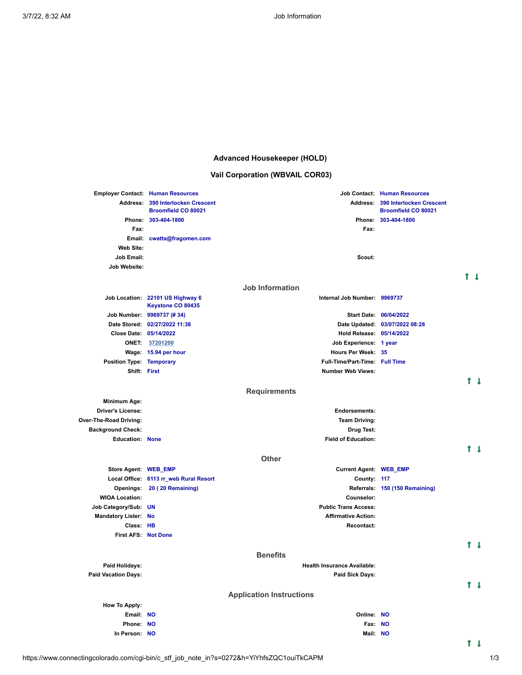## **Advanced Housekeeper (HOLD)**

# **Vail Corporation (WBVAIL COR03)**

|                                 | <b>Employer Contact: Human Resources</b>               |                                    | <b>Job Contact: Human Resources</b>                           |     |                |  |
|---------------------------------|--------------------------------------------------------|------------------------------------|---------------------------------------------------------------|-----|----------------|--|
| <b>Address:</b>                 | 390 Interlocken Crescent<br><b>Broomfield CO 80021</b> | Address:                           | <b>390 Interlocken Crescent</b><br><b>Broomfield CO 80021</b> |     |                |  |
|                                 | Phone: 303-404-1800                                    |                                    | Phone: 303-404-1800                                           |     |                |  |
| Fax:                            |                                                        | Fax:                               |                                                               |     |                |  |
|                                 | Email: cwatts@fragomen.com                             |                                    |                                                               |     |                |  |
| <b>Web Site:</b>                |                                                        |                                    |                                                               |     |                |  |
| <b>Job Email:</b>               |                                                        | Scout:                             |                                                               |     |                |  |
| <b>Job Website:</b>             |                                                        |                                    |                                                               |     |                |  |
|                                 |                                                        | Job Information                    |                                                               | t 1 |                |  |
|                                 | Job Location: 22101 US Highway 6<br>Keystone CO 80435  | Internal Job Number: 9969737       |                                                               |     |                |  |
|                                 | Job Number: 9969737 (# 34)                             |                                    | Start Date: 06/04/2022                                        |     |                |  |
|                                 | Date Stored: 02/27/2022 11:38                          |                                    | Date Updated: 03/07/2022 08:28                                |     |                |  |
| Close Date: 05/14/2022          |                                                        | Hold Release: 05/14/2022           |                                                               |     |                |  |
|                                 | ONET: 37201200                                         | Job Experience: 1 year             |                                                               |     |                |  |
|                                 | Wage: 15.94 per hour                                   | Hours Per Week: 35                 |                                                               |     |                |  |
| <b>Position Type: Temporary</b> |                                                        | Full-Time/Part-Time: Full Time     |                                                               |     |                |  |
| Shift: First                    |                                                        | <b>Number Web Views:</b>           |                                                               |     |                |  |
|                                 |                                                        |                                    |                                                               |     | t l            |  |
|                                 |                                                        | <b>Requirements</b>                |                                                               |     |                |  |
| <b>Minimum Age:</b>             |                                                        |                                    |                                                               |     |                |  |
| <b>Driver's License:</b>        |                                                        | <b>Endorsements:</b>               |                                                               |     |                |  |
| Over-The-Road Driving:          |                                                        | <b>Team Driving:</b>               |                                                               |     |                |  |
| <b>Background Check:</b>        |                                                        | Drug Test:                         |                                                               |     |                |  |
| <b>Education: None</b>          |                                                        | <b>Field of Education:</b>         |                                                               |     | t 1            |  |
|                                 |                                                        | <b>Other</b>                       |                                                               |     |                |  |
| Store Agent: WEB_EMP            |                                                        | <b>Current Agent: WEB_EMP</b>      |                                                               |     |                |  |
|                                 | Local Office: 6113 rr_web Rural Resort                 | County: 117                        |                                                               |     |                |  |
|                                 | Openings: 20 (20 Remaining)                            |                                    | Referrals: 150 (150 Remaining)                                |     |                |  |
| <b>WIOA Location:</b>           |                                                        | Counselor:                         |                                                               |     |                |  |
| Job Category/Sub: UN            |                                                        | <b>Public Trans Access:</b>        |                                                               |     |                |  |
| <b>Mandatory Lister: No</b>     |                                                        | <b>Affirmative Action:</b>         |                                                               |     |                |  |
| Class: HB                       |                                                        | <b>Recontact:</b>                  |                                                               |     |                |  |
| <b>First AFS: Not Done</b>      |                                                        |                                    |                                                               |     |                |  |
|                                 |                                                        | <b>Benefits</b>                    |                                                               |     | 1 <sub>1</sub> |  |
| Paid Holidays:                  |                                                        | <b>Health Insurance Available:</b> |                                                               |     |                |  |
| <b>Paid Vacation Days:</b>      |                                                        | <b>Paid Sick Days:</b>             |                                                               |     |                |  |
|                                 |                                                        |                                    |                                                               |     | t t            |  |
|                                 |                                                        | <b>Application Instructions</b>    |                                                               |     |                |  |
| <b>How To Apply:</b>            |                                                        |                                    |                                                               |     |                |  |
| Email: NO                       |                                                        | Online: NO                         |                                                               |     |                |  |
| Phone: NO                       |                                                        | Fax: NO                            |                                                               |     |                |  |
| In Person: NO                   |                                                        | Mail: NO                           |                                                               |     |                |  |

https://www.connectingcolorado.com/cgi-bin/c\_stf\_job\_note\_in?s=0272&h=YiYhfsZQC1ouiTkCAPM 1/3

 $t +$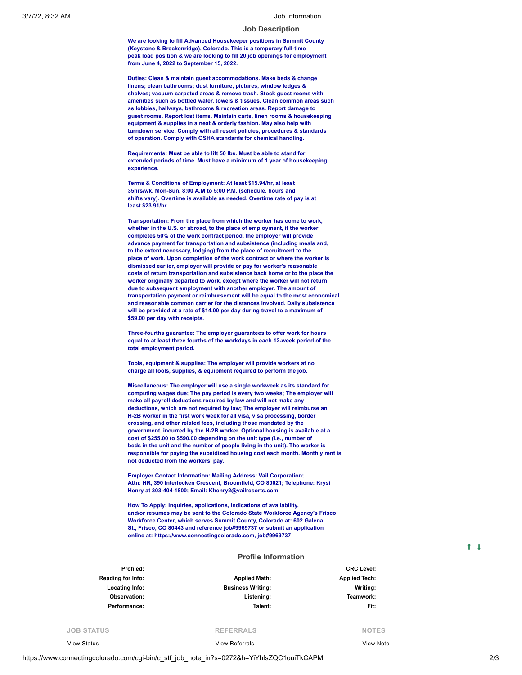#### **Job Description**

**We are looking to fill Advanced Housekeeper positions in Summit County (Keystone & Breckenridge), Colorado. This is a temporary full-time peak load position & we are looking to fill 20 job openings for employment from June 4, 2022 to September 15, 2022.**

**Duties: Clean & maintain guest accommodations. Make beds & change linens; clean bathrooms; dust furniture, pictures, window ledges & shelves; vacuum carpeted areas & remove trash. Stock guest rooms with amenities such as bottled water, towels & tissues. Clean common areas such as lobbies, hallways, bathrooms & recreation areas. Report damage to guest rooms. Report lost items. Maintain carts, linen rooms & housekeeping equipment & supplies in a neat & orderly fashion. May also help with turndown service. Comply with all resort policies, procedures & standards of operation. Comply with OSHA standards for chemical handling.**

**Requirements: Must be able to lift 50 lbs. Must be able to stand for extended periods of time. Must have a minimum of 1 year of housekeeping experience.**

**Terms & Conditions of Employment: At least \$15.94/hr, at least 35hrs/wk, Mon-Sun, 8:00 A.M to 5:00 P.M. (schedule, hours and shifts vary). Overtime is available as needed. Overtime rate of pay is at least \$23.91/hr.**

**Transportation: From the place from which the worker has come to work, whether in the U.S. or abroad, to the place of employment, if the worker completes 50% of the work contract period, the employer will provide advance payment for transportation and subsistence (including meals and, to the extent necessary, lodging) from the place of recruitment to the place of work. Upon completion of the work contract or where the worker is dismissed earlier, employer will provide or pay for worker's reasonable costs of return transportation and subsistence back home or to the place the worker originally departed to work, except where the worker will not return due to subsequent employment with another employer. The amount of transportation payment or reimbursement will be equal to the most economical and reasonable common carrier for the distances involved. Daily subsistence will be provided at a rate of \$14.00 per day during travel to a maximum of \$59.00 per day with receipts.**

**Three-fourths guarantee: The employer guarantees to offer work for hours equal to at least three fourths of the workdays in each 12-week period of the total employment period.**

**Tools, equipment & supplies: The employer will provide workers at no charge all tools, supplies, & equipment required to perform the job.**

**Miscellaneous: The employer will use a single workweek as its standard for computing wages due; The pay period is every two weeks; The employer will make all payroll deductions required by law and will not make any deductions, which are not required by law; The employer will reimburse an H-2B worker in the first work week for all visa, visa processing, border crossing, and other related fees, including those mandated by the government, incurred by the H-2B worker. Optional housing is available at a cost of \$255.00 to \$590.00 depending on the unit type (i.e., number of beds in the unit and the number of people living in the unit). The worker is responsible for paying the subsidized housing cost each month. Monthly rent is not deducted from the workers' pay.**

**Employer Contact Information: Mailing Address: Vail Corporation; Attn: HR, 390 Interlocken Crescent, Broomfield, CO 80021; Telephone: Krysi Henry at 303-404-1800; Email: Khenry2@vailresorts.com.**

**How To Apply: Inquiries, applications, indications of availability, and/or resumes may be sent to the Colorado State Workforce Agency's Frisco Workforce Center, which serves Summit County, Colorado at: 602 Galena St., Frisco, CO 80443 and reference job#9969737 or submit an application online at: https://www.connectingcolorado.com, job#9969737**

#### **Profile Information**

| Profiled:                |                          | <b>CRC Level:</b>    |
|--------------------------|--------------------------|----------------------|
| <b>Reading for Info:</b> | <b>Applied Math:</b>     | <b>Applied Tech:</b> |
| Locating Info:           | <b>Business Writing:</b> | Writing:             |
| Observation:             | Listening:               | Teamwork:            |
| Performance:             | Talent:                  | Fit:                 |
|                          |                          |                      |

**JOB STATUS**

View [Status](https://www.connectingcolorado.com/cgi-bin/c_stf_job_stat_display?s=0272&h=YiYhfsZQC1ouiTkCAPM)

**REFERRALS** View [Referrals](https://www.connectingcolorado.com/cgi-bin/c_stf_job_ref?s=0272&h=YiYhfsZQC1ouiTkCAPM)

**NOTES** [View](https://www.connectingcolorado.com/cgi-bin/c_stf_job_note?s=0272&h=YiYhfsZQC1ouiTkCAPM) Note

https://www.connectingcolorado.com/cgi-bin/c\_stf\_job\_note\_in?s=0272&h=YiYhfsZQC1ouiTkCAPM 2/3

 $1<sub>1</sub>$